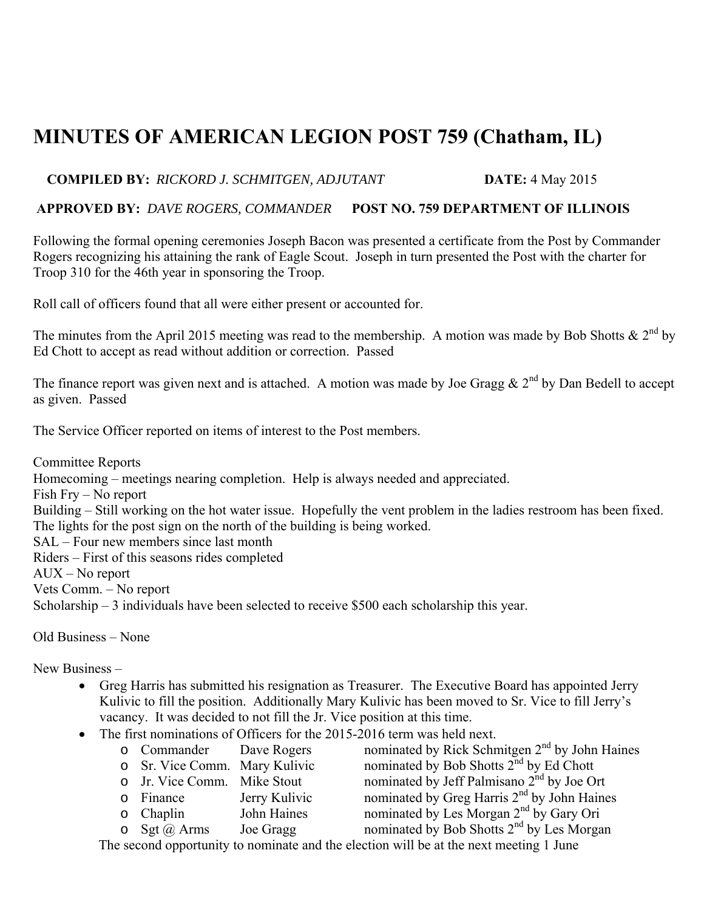## **MINUTES OF AMERICAN LEGION POST 759 (Chatham, IL)**

## **COMPILED BY:** *RICKORD J. SCHMITGEN, ADJUTANT* **DATE:** 4 May 2015

## **APPROVED BY:** *DAVE ROGERS, COMMANDER* **POST NO. 759 DEPARTMENT OF ILLINOIS**

Following the formal opening ceremonies Joseph Bacon was presented a certificate from the Post by Commander Rogers recognizing his attaining the rank of Eagle Scout. Joseph in turn presented the Post with the charter for Troop 310 for the 46th year in sponsoring the Troop.

Roll call of officers found that all were either present or accounted for.

The minutes from the April 2015 meeting was read to the membership. A motion was made by Bob Shotts &  $2^{nd}$  by Ed Chott to accept as read without addition or correction. Passed

The finance report was given next and is attached. A motion was made by Joe Gragg  $& 2<sup>nd</sup>$  by Dan Bedell to accept as given. Passed

The Service Officer reported on items of interest to the Post members.

Committee Reports Homecoming – meetings nearing completion. Help is always needed and appreciated. Fish Fry – No report Building – Still working on the hot water issue. Hopefully the vent problem in the ladies restroom has been fixed. The lights for the post sign on the north of the building is being worked. SAL – Four new members since last month Riders – First of this seasons rides completed AUX – No report Vets Comm. – No report Scholarship – 3 individuals have been selected to receive \$500 each scholarship this year.

Old Business – None

New Business –

- Greg Harris has submitted his resignation as Treasurer. The Executive Board has appointed Jerry Kulivic to fill the position. Additionally Mary Kulivic has been moved to Sr. Vice to fill Jerry's vacancy. It was decided to not fill the Jr. Vice position at this time.
- The first nominations of Officers for the 2015-2016 term was held next.

|                                                                                        | o Commander Dave Rogers       |               | nominated by Rick Schmitgen 2 <sup>nd</sup> by John Haines |
|----------------------------------------------------------------------------------------|-------------------------------|---------------|------------------------------------------------------------|
|                                                                                        | o Sr. Vice Comm. Mary Kulivic |               | nominated by Bob Shotts 2 <sup>nd</sup> by Ed Chott        |
|                                                                                        | o Jr. Vice Comm. Mike Stout   |               | nominated by Jeff Palmisano 2 <sup>nd</sup> by Joe Ort     |
|                                                                                        | o Finance                     | Jerry Kulivic | nominated by Greg Harris 2 <sup>nd</sup> by John Haines    |
|                                                                                        | $\circ$ Chaplin               | John Haines   | nominated by Les Morgan 2 <sup>nd</sup> by Gary Ori        |
|                                                                                        | $\circ$ Sgt $(a)$ Arms        | Joe Gragg     | nominated by Bob Shotts $2nd$ by Les Morgan                |
| The second opportunity to nominate and the election will be at the next meeting 1 June |                               |               |                                                            |